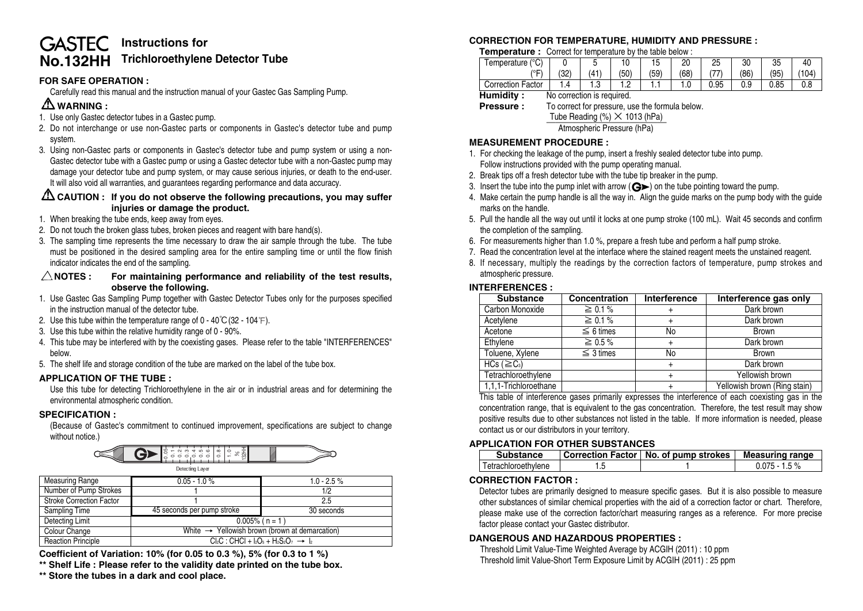### **Instructions for GASTEC Trichloroethylene Detector Tube No.132HH**

## **FOR SAFE OPERATION :**

Carefully read this manual and the instruction manual of your Gastec Gas Sampling Pump.

# **WARNING :**

- 1. Use only Gastec detector tubes in a Gastec pump.
- 2. Do not interchange or use non-Gastec parts or components in Gastec's detector tube and pump system.
- 3. Using non-Gastec parts or components in Gastec's detector tube and pump system or using a non-Gastec detector tube with a Gastec pump or using a Gastec detector tube with a non-Gastec pump may damage your detector tube and pump system, or may cause serious injuries, or death to the end-user. It will also void all warranties, and guarantees regarding performance and data accuracy.

#### **CAUTION : If you do not observe the following precautions, you may suffer injuries or damage the product.**

- 1. When breaking the tube ends, keep away from eyes.
- 2. Do not touch the broken glass tubes, broken pieces and reagent with bare hand(s).
- 3. The sampling time represents the time necessary to draw the air sample through the tube. The tube must be positioned in the desired sampling area for the entire sampling time or until the flow finish indicator indicates the end of the sampling.

#### $\triangle$ NOTES : For maintaining performance and reliability of the test results, **observe the following.**

- 1. Use Gastec Gas Sampling Pump together with Gastec Detector Tubes only for the purposes specified in the instruction manual of the detector tube.
- 2. Use this tube within the temperature range of  $0 40^{\circ}C(32 104^{\circ}F)$ .
- 3. Use this tube within the relative humidity range of 0 90%.
- 4. This tube may be interfered with by the coexisting gases. Please refer to the table "INTERFERENCES" below.
- 5. The shelf life and storage condition of the tube are marked on the label of the tube box.

### **APPLICATION OF THE TUBE :**

Use this tube for detecting Trichloroethylene in the air or in industrial areas and for determining the environmental atmospheric condition.

### **SPECIFICATION :**

(Because of Gastec's commitment to continued improvement, specifications are subject to change without notice.)



| <b>Measuring Range</b>          | $0.05 - 1.0 %$                                                                                                                           | $1.0 - 2.5 \%$ |  |  |  |
|---------------------------------|------------------------------------------------------------------------------------------------------------------------------------------|----------------|--|--|--|
| Number of Pump Strokes          |                                                                                                                                          | 1/2            |  |  |  |
| <b>Stroke Correction Factor</b> |                                                                                                                                          | 2.5            |  |  |  |
| Sampling Time                   | 45 seconds per pump stroke                                                                                                               | 30 seconds     |  |  |  |
| Detecting Limit                 | $0.005\%$ ( n = 1)                                                                                                                       |                |  |  |  |
| <b>Colour Change</b>            | White $\rightarrow$ Yellowish brown (brown at demarcation)                                                                               |                |  |  |  |
| <b>Reaction Principle</b>       | $C\triangleright C$ : CHCl + $\triangleright$ O <sub>5</sub> + H <sub>2</sub> S <sub>2</sub> O <sub>7</sub> $\rightarrow \triangleright$ |                |  |  |  |

**Coefficient of Variation: 10% (for 0.05 to 0.3 %), 5% (for 0.3 to 1 %)**

- **\*\* Shelf Life : Please refer to the validity date printed on the tube box.**
- **\*\* Store the tubes in a dark and cool place.**

# **CORRECTION FOR TEMPERATURE, HUMIDITY AND PRESSURE :**

**Temperature :** Correct for temperature by the table below :

| Temperature (°C)         |            |      |                          |     | 20   | 25   | 30   | 25   | 40    |
|--------------------------|------------|------|--------------------------|-----|------|------|------|------|-------|
| /∘⊏'                     | י מ<br>ے ت | (41' | (50)                     | 59) | (68) | 177  | (86) | (95) | (104) |
| <b>Correction Factor</b> |            | ں.   | $\overline{\phantom{a}}$ | . . |      | 0.95 | ບ.ບ  | 0.85 | 0.8   |

**Humidity :** No correction is required.

**Pressure :** To correct for pressure, use the formula below.

Tube Reading  $\frac{\%}{\times}$  1013 (hPa)<br>
Atmospheric Pressure (hPa)

#### **MEASUREMENT PROCEDURE :**

- 1. For checking the leakage of the pump, insert a freshly sealed detector tube into pump. Follow instructions provided with the pump operating manual.
- 2. Break tips off a fresh detector tube with the tube tip breaker in the pump.
- 3. Insert the tube into the pump inlet with arrow  $(Q)$  on the tube pointing toward the pump.
- 4. Make certain the pump handle is all the way in. Align the guide marks on the pump body with the guide marks on the handle.
- 5. Pull the handle all the way out until it locks at one pump stroke (100 mL). Wait 45 seconds and confirm the completion of the sampling.
- 6. For measurements higher than 1.0 %, prepare a fresh tube and perform a half pump stroke.
- 7. Read the concentration level at the interface where the stained reagent meets the unstained reagent.
- 8. If necessary, multiply the readings by the correction factors of temperature, pump strokes and atmospheric pressure.

#### **INTERFERENCES :**

| <b>Substance</b>                | Concentration  | Interference | Interference gas only        |
|---------------------------------|----------------|--------------|------------------------------|
| Carbon Monoxide                 | $\geq 0.1 \%$  |              | Dark brown                   |
| Acetylene                       | $\geq 0.1 \%$  |              | Dark brown                   |
| Acetone                         | $\leq 6$ times | No           | <b>Brown</b>                 |
| Ethylene                        | $\geq 0.5\%$   |              | Dark brown                   |
| Toluene, Xylene                 | $\leq$ 3 times | No           | <b>Brown</b>                 |
| $HCs$ ( $\geq$ C <sub>3</sub> ) |                |              | Dark brown                   |
| Tetrachloroethylene             |                |              | Yellowish brown              |
| 1.1.1-Trichloroethane           |                |              | Yellowish brown (Ring stain) |

This table of interference gases primarily expresses the interference of each coexisting gas in the concentration range, that is equivalent to the gas concentration. Therefore, the test result may show positive results due to other substances not listed in the table. If more information is needed, please contact us or our distributors in your territory.

#### **APPLICATION FOR OTHER SUBSTANCES**

| <b>Substance</b>    | Correction Factor   No. of pump strokes | Measuring range  |
|---------------------|-----------------------------------------|------------------|
| Tetrachloroethylene |                                         | $0.075 - 1.5 \%$ |

#### **CORRECTION FACTOR :**

Detector tubes are primarily designed to measure specific gases. But it is also possible to measure other substances of similar chemical properties with the aid of a correction factor or chart. Therefore, please make use of the correction factor/chart measuring ranges as a reference. For more precise factor please contact your Gastec distributor.

### **DANGEROUS AND HAZARDOUS PROPERTIES :**

Threshold Limit Value-Time Weighted Average by ACGIH (2011) : 10 ppm Threshold limit Value-Short Term Exposure Limit by ACGIH (2011) : 25 ppm